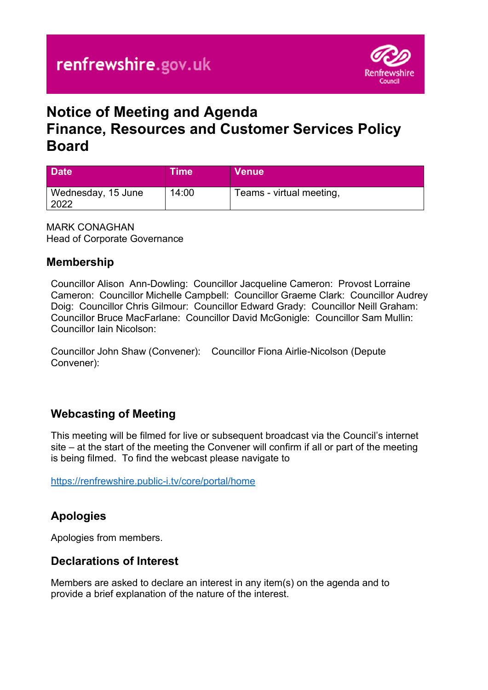

# **Notice of Meeting and Agenda Finance, Resources and Customer Services Policy Board**

| <b>Date</b>                | ∖Time\ | <b>Venue</b>             |
|----------------------------|--------|--------------------------|
| Wednesday, 15 June<br>2022 | 14:00  | Teams - virtual meeting, |

MARK CONAGHAN Head of Corporate Governance

#### **Membership**

Councillor Alison Ann-Dowling: Councillor Jacqueline Cameron: Provost Lorraine Cameron: Councillor Michelle Campbell: Councillor Graeme Clark: Councillor Audrey Doig: Councillor Chris Gilmour: Councillor Edward Grady: Councillor Neill Graham: Councillor Bruce MacFarlane: Councillor David McGonigle: Councillor Sam Mullin: Councillor Iain Nicolson:

Councillor John Shaw (Convener): Councillor Fiona Airlie-Nicolson (Depute Convener):

#### **Webcasting of Meeting**

This meeting will be filmed for live or subsequent broadcast via the Council's internet site – at the start of the meeting the Convener will confirm if all or part of the meeting is being filmed. To find the webcast please navigate to

<https://renfrewshire.public-i.tv/core/portal/home>

#### **Apologies**

Apologies from members.

#### **Declarations of Interest**

Members are asked to declare an interest in any item(s) on the agenda and to provide a brief explanation of the nature of the interest.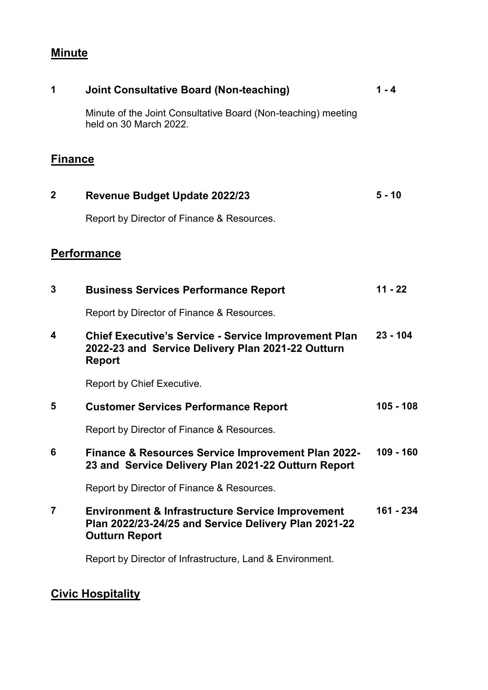# **Minute**

| 1              | <b>Joint Consultative Board (Non-teaching)</b>                                                                                               | $1 - 4$     |
|----------------|----------------------------------------------------------------------------------------------------------------------------------------------|-------------|
|                | Minute of the Joint Consultative Board (Non-teaching) meeting<br>held on 30 March 2022.                                                      |             |
| <b>Finance</b> |                                                                                                                                              |             |
| $\mathbf{2}$   | <b>Revenue Budget Update 2022/23</b>                                                                                                         | $5 - 10$    |
|                | Report by Director of Finance & Resources.                                                                                                   |             |
|                | <b>Performance</b>                                                                                                                           |             |
| 3              | <b>Business Services Performance Report</b>                                                                                                  | $11 - 22$   |
|                | Report by Director of Finance & Resources.                                                                                                   |             |
| 4              | <b>Chief Executive's Service - Service Improvement Plan</b><br>2022-23 and Service Delivery Plan 2021-22 Outturn<br><b>Report</b>            | $23 - 104$  |
|                | Report by Chief Executive.                                                                                                                   |             |
| 5              | <b>Customer Services Performance Report</b>                                                                                                  | $105 - 108$ |
|                | Report by Director of Finance & Resources.                                                                                                   |             |
|                | Finance & Resources Service Improvement Plan 2022-<br>23 and Service Delivery Plan 2021-22 Outturn Report                                    | $109 - 160$ |
|                | Report by Director of Finance & Resources.                                                                                                   |             |
| 7              | <b>Environment &amp; Infrastructure Service Improvement</b><br>Plan 2022/23-24/25 and Service Delivery Plan 2021-22<br><b>Outturn Report</b> | 161 - 234   |
|                | Report by Director of Infrastructure, Land & Environment.                                                                                    |             |

# **Civic Hospitality**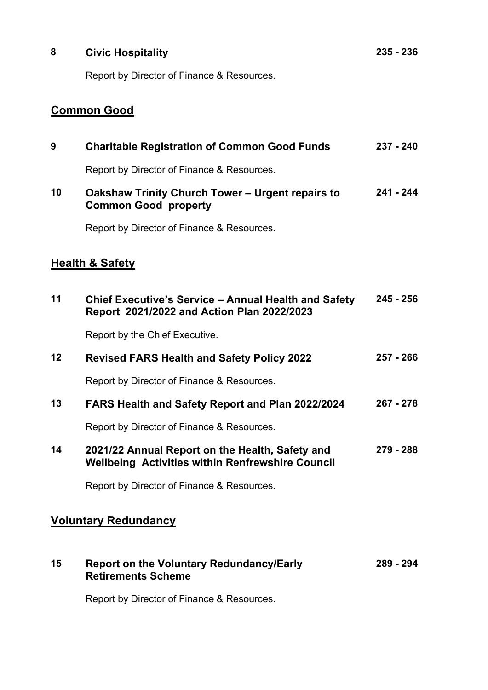# **8 Civic Hospitality** Report by Director of Finance & Resources.

**235 - 236**

### **Common Good**

| 9                           | <b>Charitable Registration of Common Good Funds</b>                                                        | 237 - 240   |
|-----------------------------|------------------------------------------------------------------------------------------------------------|-------------|
|                             | Report by Director of Finance & Resources.                                                                 |             |
| 10                          | Oakshaw Trinity Church Tower - Urgent repairs to<br><b>Common Good property</b>                            | $241 - 244$ |
|                             | Report by Director of Finance & Resources.                                                                 |             |
|                             | <b>Health &amp; Safety</b>                                                                                 |             |
| 11                          | <b>Chief Executive's Service - Annual Health and Safety</b><br>Report 2021/2022 and Action Plan 2022/2023  | $245 - 256$ |
|                             | Report by the Chief Executive.                                                                             |             |
| 12                          | <b>Revised FARS Health and Safety Policy 2022</b>                                                          | $257 - 266$ |
|                             | Report by Director of Finance & Resources.                                                                 |             |
| 13                          | FARS Health and Safety Report and Plan 2022/2024                                                           | $267 - 278$ |
|                             | Report by Director of Finance & Resources.                                                                 |             |
| 14                          | 2021/22 Annual Report on the Health, Safety and<br><b>Wellbeing Activities within Renfrewshire Council</b> | 279 - 288   |
|                             | Report by Director of Finance & Resources.                                                                 |             |
| <b>Voluntary Redundancy</b> |                                                                                                            |             |

| 15 | <b>Report on the Voluntary Redundancy/Early</b> | 289 - 294 |
|----|-------------------------------------------------|-----------|
|    | <b>Retirements Scheme</b>                       |           |

Report by Director of Finance & Resources.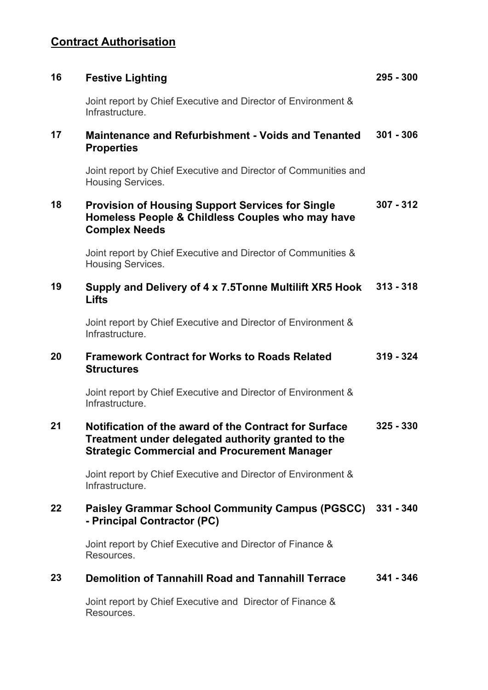## **Contract Authorisation**

| 16 | <b>Festive Lighting</b>                                                                                                                                            | $295 - 300$ |
|----|--------------------------------------------------------------------------------------------------------------------------------------------------------------------|-------------|
|    | Joint report by Chief Executive and Director of Environment &<br>Infrastructure.                                                                                   |             |
| 17 | <b>Maintenance and Refurbishment - Voids and Tenanted</b><br><b>Properties</b>                                                                                     | $301 - 306$ |
|    | Joint report by Chief Executive and Director of Communities and<br><b>Housing Services.</b>                                                                        |             |
| 18 | <b>Provision of Housing Support Services for Single</b><br>Homeless People & Childless Couples who may have<br><b>Complex Needs</b>                                | $307 - 312$ |
|    | Joint report by Chief Executive and Director of Communities &<br><b>Housing Services.</b>                                                                          |             |
| 19 | Supply and Delivery of 4 x 7.5Tonne Multilift XR5 Hook<br>Lifts                                                                                                    | $313 - 318$ |
|    | Joint report by Chief Executive and Director of Environment &<br>Infrastructure.                                                                                   |             |
| 20 | <b>Framework Contract for Works to Roads Related</b><br><b>Structures</b>                                                                                          | $319 - 324$ |
|    | Joint report by Chief Executive and Director of Environment &<br>Infrastructure.                                                                                   |             |
| 21 | Notification of the award of the Contract for Surface<br>Treatment under delegated authority granted to the<br><b>Strategic Commercial and Procurement Manager</b> | $325 - 330$ |
|    | Joint report by Chief Executive and Director of Environment &<br>Infrastructure.                                                                                   |             |
| 22 | <b>Paisley Grammar School Community Campus (PGSCC)</b><br>- Principal Contractor (PC)                                                                              | $331 - 340$ |
|    | Joint report by Chief Executive and Director of Finance &<br>Resources.                                                                                            |             |
| 23 | <b>Demolition of Tannahill Road and Tannahill Terrace</b>                                                                                                          | $341 - 346$ |
|    | Joint report by Chief Executive and Director of Finance &<br>Resources.                                                                                            |             |